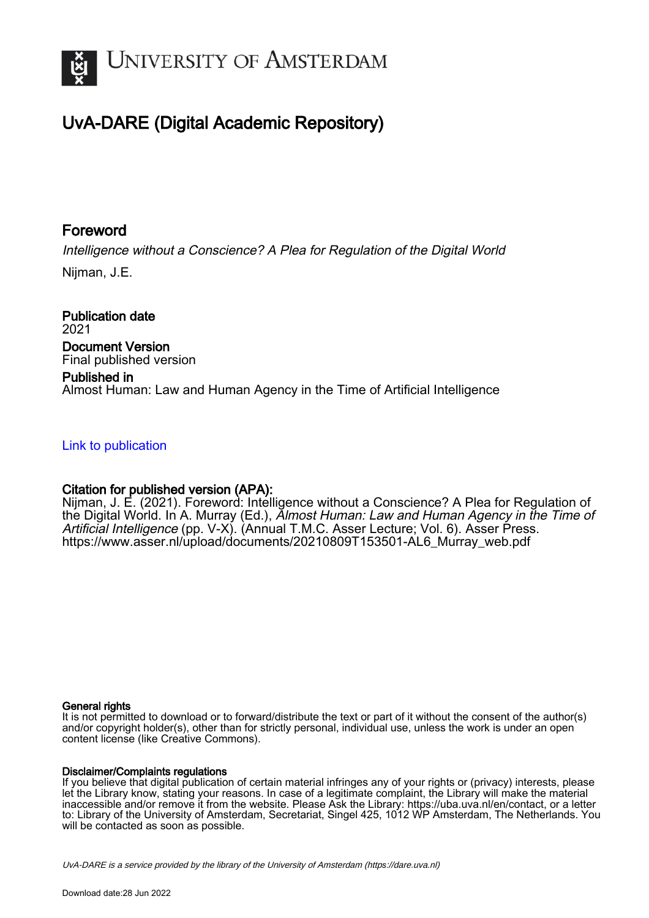

# UvA-DARE (Digital Academic Repository)

# Foreword

Intelligence without a Conscience? A Plea for Regulation of the Digital World

Nijman, J.E.

Publication date 2021 Document Version Final published version

# Published in Almost Human: Law and Human Agency in the Time of Artificial Intelligence

## [Link to publication](https://dare.uva.nl/personal/pure/en/publications/foreword(ed776522-134f-479b-9a0f-0f881f686384).html)

## Citation for published version (APA):

Nijman, J. E. (2021). Foreword: Intelligence without a Conscience? A Plea for Regulation of the Digital World. In A. Murray (Ed.), Almost Human: Law and Human Agency in the Time of Artificial Intelligence (pp. V-X). (Annual T.M.C. Asser Lecture; Vol. 6). Asser Press. [https://www.asser.nl/upload/documents/20210809T153501-AL6\\_Murray\\_web.pdf](https://www.asser.nl/upload/documents/20210809T153501-AL6_Murray_web.pdf)

### General rights

It is not permitted to download or to forward/distribute the text or part of it without the consent of the author(s) and/or copyright holder(s), other than for strictly personal, individual use, unless the work is under an open content license (like Creative Commons).

### Disclaimer/Complaints regulations

If you believe that digital publication of certain material infringes any of your rights or (privacy) interests, please let the Library know, stating your reasons. In case of a legitimate complaint, the Library will make the material inaccessible and/or remove it from the website. Please Ask the Library: https://uba.uva.nl/en/contact, or a letter to: Library of the University of Amsterdam, Secretariat, Singel 425, 1012 WP Amsterdam, The Netherlands. You will be contacted as soon as possible.

UvA-DARE is a service provided by the library of the University of Amsterdam (http*s*://dare.uva.nl)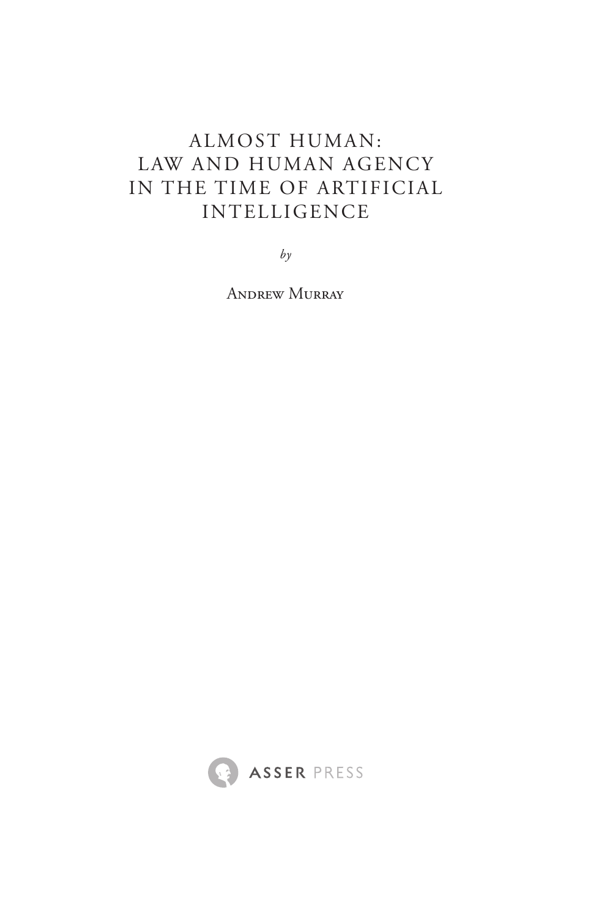# Almost Human: Law and Human Agency in the Time of Artificial Intelligence

*by*

Andrew Murray

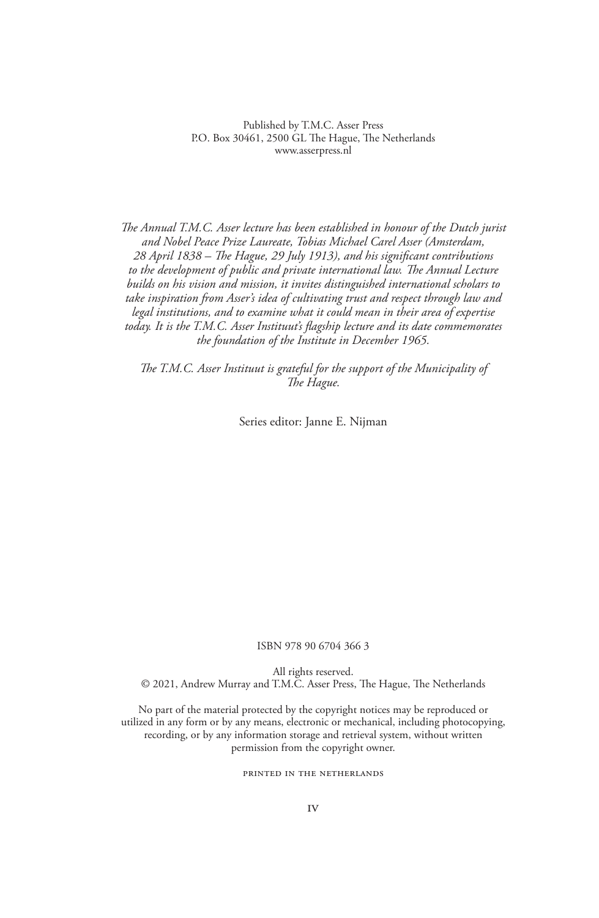Published by T.M.C. Asser Press P.O. Box 30461, 2500 GL The Hague, The Netherlands www.asserpress.nl

*The Annual T.M.C. Asser lecture has been established in honour of the Dutch jurist and Nobel Peace Prize Laureate, Tobias Michael Carel Asser (Amsterdam, 28 April 1838 – The Hague, 29 July 1913), and his significant contributions to the development of public and private international law. The Annual Lecture builds on his vision and mission, it invites distinguished international scholars to take inspiration from Asser's idea of cultivating trust and respect through law and legal institutions, and to examine what it could mean in their area of expertise today. It is the T.M.C. Asser Instituut's flagship lecture and its date commemorates the foundation of the Institute in December 1965.*

*The T.M.C. Asser Instituut is grateful for the support of the Municipality of The Hague.*

Series editor: Janne E. Nijman

#### ISBN 978 90 6704 366 3

All rights reserved.

© 2021, Andrew Murray and T.M.C. Asser Press, The Hague, The Netherlands

No part of the material protected by the copyright notices may be reproduced or utilized in any form or by any means, electronic or mechanical, including photocopying, recording, or by any information storage and retrieval system, without written permission from the copyright owner.

#### PRINTED IN THE NETHERLANDS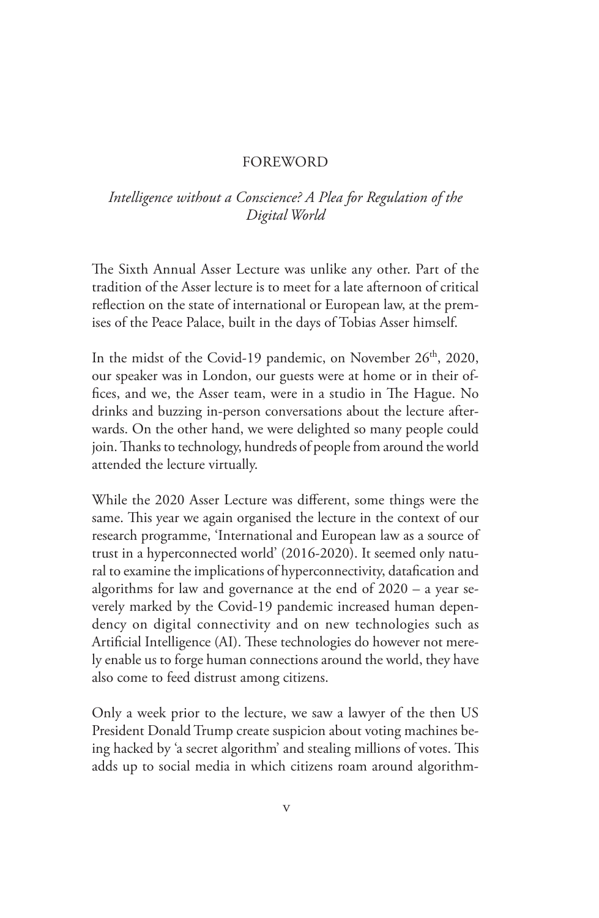### **FOREWORD**

### *Intelligence without a Conscience? A Plea for Regulation of the Digital World*

The Sixth Annual Asser Lecture was unlike any other. Part of the tradition of the Asser lecture is to meet for a late afternoon of critical reflection on the state of international or European law, at the premises of the Peace Palace, built in the days of Tobias Asser himself.

In the midst of the Covid-19 pandemic, on November 26<sup>th</sup>, 2020, our speaker was in London, our guests were at home or in their offices, and we, the Asser team, were in a studio in The Hague. No drinks and buzzing in-person conversations about the lecture afterwards. On the other hand, we were delighted so many people could join. Thanks to technology, hundreds of people from around the world attended the lecture virtually.

While the 2020 Asser Lecture was different, some things were the same. This year we again organised the lecture in the context of our research programme, 'International and European law as a source of trust in a hyperconnected world' (2016-2020). It seemed only natural to examine the implications of hyperconnectivity, datafication and algorithms for law and governance at the end of 2020 – a year severely marked by the Covid-19 pandemic increased human dependency on digital connectivity and on new technologies such as Artificial Intelligence (AI). These technologies do however not merely enable us to forge human connections around the world, they have also come to feed distrust among citizens.

Only a week prior to the lecture, we saw a lawyer of the then US President Donald Trump create suspicion about voting machines being hacked by 'a secret algorithm' and stealing millions of votes. This adds up to social media in which citizens roam around algorithm-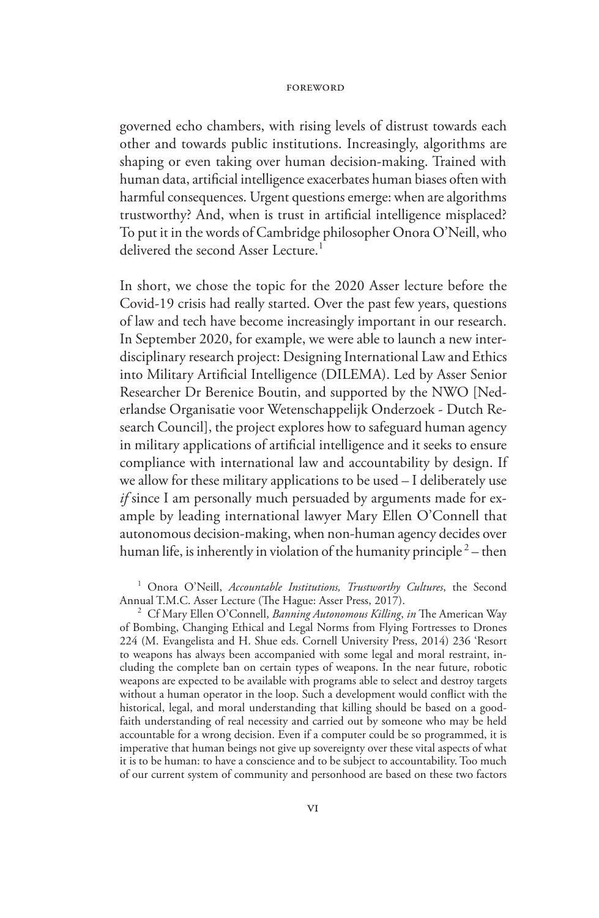governed echo chambers, with rising levels of distrust towards each other and towards public institutions. Increasingly, algorithms are shaping or even taking over human decision-making. Trained with human data, artificial intelligence exacerbates human biases often with harmful consequences. Urgent questions emerge: when are algorithms trustworthy? And, when is trust in artificial intelligence misplaced? To put it in the words of Cambridge philosopher Onora O'Neill, who delivered the second Asser Lecture.<sup>1</sup>

In short, we chose the topic for the 2020 Asser lecture before the Covid-19 crisis had really started. Over the past few years, questions of law and tech have become increasingly important in our research. In September 2020, for example, we were able to launch a new interdisciplinary research project: Designing International Law and Ethics into Military Artificial Intelligence (DILEMA). Led by Asser Senior Researcher Dr Berenice Boutin, and supported by the NWO [Nederlandse Organisatie voor Wetenschappelijk Onderzoek - Dutch Research Council], the project explores how to safeguard human agency in military applications of artificial intelligence and it seeks to ensure compliance with international law and accountability by design. If we allow for these military applications to be used – I deliberately use *if* since I am personally much persuaded by arguments made for example by leading international lawyer Mary Ellen O'Connell that autonomous decision-making, when non-human agency decides over human life, is inherently in violation of the humanity principle  $2$  – then

<sup>1</sup> Onora O'Neill, *Accountable Institutions, Trustworthy Cultures*, the Second Annual T.M.C. Asser Lecture (The Hague: Asser Press, 2017).

<sup>2</sup> Cf Mary Ellen O'Connell, *Banning Autonomous Killing*, *in* The American Way of Bombing, Changing Ethical and Legal Norms from Flying Fortresses to Drones 224 (M. Evangelista and H. Shue eds. Cornell University Press, 2014) 236 'Resort to weapons has always been accompanied with some legal and moral restraint, including the complete ban on certain types of weapons. In the near future, robotic weapons are expected to be available with programs able to select and destroy targets without a human operator in the loop. Such a development would conflict with the historical, legal, and moral understanding that killing should be based on a goodfaith understanding of real necessity and carried out by someone who may be held accountable for a wrong decision. Even if a computer could be so programmed, it is imperative that human beings not give up sovereignty over these vital aspects of what it is to be human: to have a conscience and to be subject to accountability. Too much of our current system of community and personhood are based on these two factors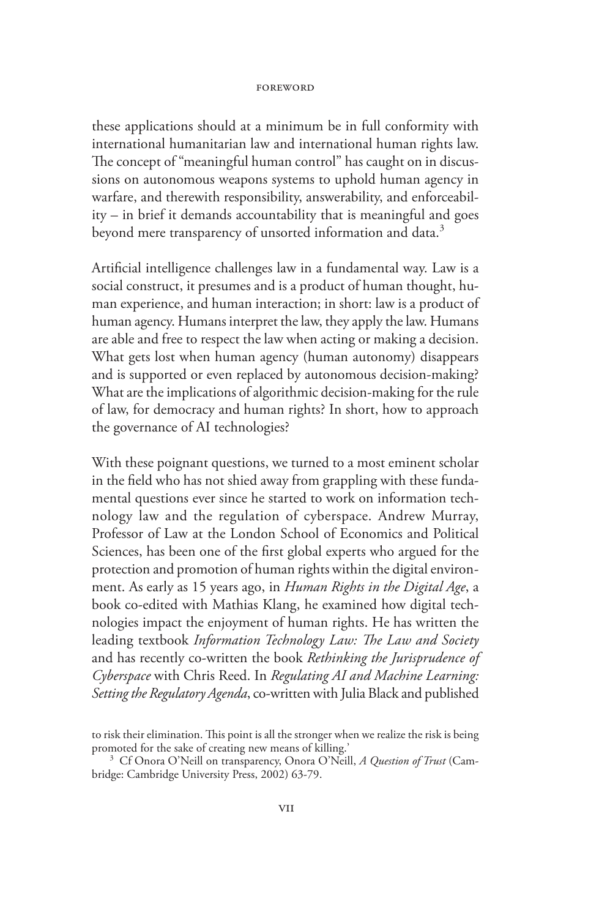these applications should at a minimum be in full conformity with international humanitarian law and international human rights law. The concept of "meaningful human control" has caught on in discussions on autonomous weapons systems to uphold human agency in warfare, and therewith responsibility, answerability, and enforceability – in brief it demands accountability that is meaningful and goes beyond mere transparency of unsorted information and data.<sup>3</sup>

Artificial intelligence challenges law in a fundamental way. Law is a social construct, it presumes and is a product of human thought, human experience, and human interaction; in short: law is a product of human agency. Humans interpret the law, they apply the law. Humans are able and free to respect the law when acting or making a decision. What gets lost when human agency (human autonomy) disappears and is supported or even replaced by autonomous decision-making? What are the implications of algorithmic decision-making for the rule of law, for democracy and human rights? In short, how to approach the governance of AI technologies?

With these poignant questions, we turned to a most eminent scholar in the field who has not shied away from grappling with these fundamental questions ever since he started to work on information technology law and the regulation of cyberspace. Andrew Murray, Professor of Law at the London School of Economics and Political Sciences, has been one of the first global experts who argued for the protection and promotion of human rights within the digital environment. As early as 15 years ago, in *Human Rights in the Digital Age*, a book co-edited with Mathias Klang, he examined how digital technologies impact the enjoyment of human rights. He has written the leading textbook *Information Technology Law: The Law and Society* and has recently co-written the book *Rethinking the Jurisprudence of Cyberspace* with Chris Reed. In *Regulating AI and Machine Learning: Setting the Regulatory Agenda*, co-written with Julia Black and published

to risk their elimination. This point is all the stronger when we realize the risk is being<br>promoted for the sake of creating new means of killing.'

<sup>&</sup>lt;sup>3</sup> Cf Onora O'Neill on transparency, Onora O'Neill, *A Question of Trust* (Cambridge: Cambridge University Press, 2002) 63-79.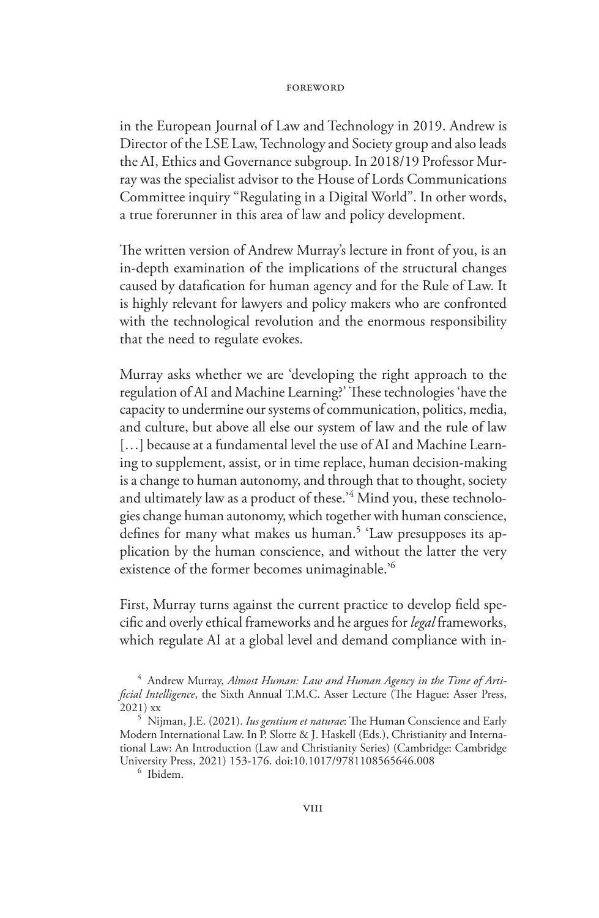in the European Journal of Law and Technology in 2019. Andrew is Director of the LSE Law, Technology and Society group and also leads the AI, Ethics and Governance subgroup. In 2018/19 Professor Murray was the specialist advisor to the House of Lords Communications Committee inquiry "Regulating in a Digital World". In other words, a true forerunner in this area of law and policy development.

The written version of Andrew Murray's lecture in front of you, is an in-depth examination of the implications of the structural changes caused by datafication for human agency and for the Rule of Law. It is highly relevant for lawyers and policy makers who are confronted with the technological revolution and the enormous responsibility that the need to regulate evokes.

Murray asks whether we are 'developing the right approach to the regulation of AI and Machine Learning?' These technologies 'have the capacity to undermine our systems of communication, politics, media, and culture, but above all else our system of law and the rule of law [...] because at a fundamental level the use of AI and Machine Learning to supplement, assist, or in time replace, human decision-making is a change to human autonomy, and through that to thought, society and ultimately law as a product of these.'<sup>4</sup> Mind you, these technologies change human autonomy, which together with human conscience, defines for many what makes us human.<sup>5</sup> 'Law presupposes its application by the human conscience, and without the latter the very existence of the former becomes unimaginable.'6

First, Murray turns against the current practice to develop field specific and overly ethical frameworks and he argues for *legal* frameworks, which regulate AI at a global level and demand compliance with in-

<sup>&</sup>lt;sup>4</sup> Andrew Murray, Almost Human: Law and Human Agency in the Time of Arti*ficial Intelligence*, the Sixth Annual T.M.C. Asser Lecture (The Hague: Asser Press, 2021) xx <sup>5</sup> Nijman, J.E. (2021). *Ius gentium et naturae*: The Human Conscience and Early

Modern International Law. In P. Slotte & J. Haskell (Eds.), Christianity and International Law: An Introduction (Law and Christianity Series) (Cambridge: Cambridge University Press, 2021) 153-176. doi:10.1017/9781108565646.008 <sup>6</sup> Ibidem.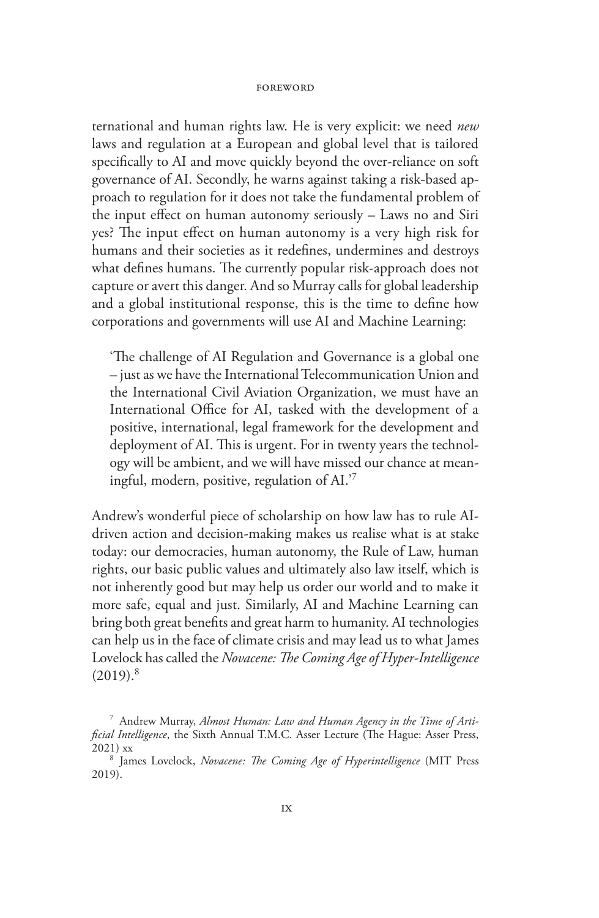ternational and human rights law. He is very explicit: we need *new* laws and regulation at a European and global level that is tailored specifically to AI and move quickly beyond the over-reliance on soft governance of AI. Secondly, he warns against taking a risk-based approach to regulation for it does not take the fundamental problem of the input effect on human autonomy seriously – Laws no and Siri yes? The input effect on human autonomy is a very high risk for humans and their societies as it redefines, undermines and destroys what defines humans. The currently popular risk-approach does not capture or avert this danger. And so Murray calls for global leadership and a global institutional response, this is the time to define how corporations and governments will use AI and Machine Learning:

'The challenge of AI Regulation and Governance is a global one – just as we have the International Telecommunication Union and the International Civil Aviation Organization, we must have an International Office for AI, tasked with the development of a positive, international, legal framework for the development and deployment of AI. This is urgent. For in twenty years the technology will be ambient, and we will have missed our chance at meaningful, modern, positive, regulation of AI.'7

Andrew's wonderful piece of scholarship on how law has to rule AIdriven action and decision-making makes us realise what is at stake today: our democracies, human autonomy, the Rule of Law, human rights, our basic public values and ultimately also law itself, which is not inherently good but may help us order our world and to make it more safe, equal and just. Similarly, AI and Machine Learning can bring both great benefits and great harm to humanity. AI technologies can help us in the face of climate crisis and may lead us to what James Lovelock has called the *Novacene: The Coming Age of Hyper-Intelligence*  $(2019).$ <sup>8</sup>

<sup>7</sup> Andrew Murray, *Almost Human: Law and Human Agency in the Time of Artificial Intelligence*, the Sixth Annual T.M.C. Asser Lecture (The Hague: Asser Press, 2021) xx <sup>8</sup> James Lovelock, *Novacene: The Coming Age of Hyperintelligence* (MIT Press

<sup>2019).</sup>